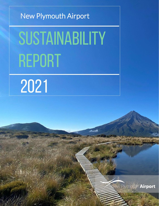# New Plymouth Airport

# SUSTAINABILITY REPORT

New Plymouth Airport

2021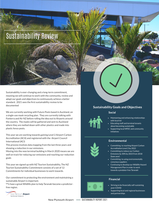# Sustainability Review

Sustainability is ever-changing and a long-term commitment, meaning we will continue to work with the community, review and adapt our goals and objectives to continuously achieve a better standard. 2021 sees the first sustainability review to be documented

We are currently working with Future Posts based in Auckland, on a single-use mask recycling plan. They are currently talking with Fonterra and Air NZ before rolling the idea out to Airports around the country. The masks will be gathered and sent to Auckland where they are melted down with other plastics and made into plastic fence posts.

This year we are working towards gaining Level 2 Airport Carbon Accreditation (ACA) and registered with the Airport Council International (ACI)

This process involves data mapping from the last three years and showing a reduction in our emissions.

Moving into the new terminal building in March 2020 means we are well on track for reducing our emissions and reaching our reduction goals

This year we signed up with NZ Tourism Sustainability, The NZ Tourism Sustainability Commitment consists of a set of 12 Commitments for individual businesses to work towards.

Our commitment to protecting the environment and maintaining a sustainable Airport is important.

We have a great Wildlife plan to help Taranaki become a predictorfree region.



### **Sustainability Goals and Objectives**

Top Achievements

#### **Social**

- Maintaining and enhancing relationships with local iwi
- Educating staff and terminal tenants about becoming sustainable
- Supporting local NPDC and community initiatives



#### **Environmental**

- Committing toreaching Airport Carbon Accreditation Level 2 by 2022
- Committing to reduce our Carbon Emissions by 30% by 2023 from 2018 (base year)
- Committing to using environmentally conscious suppliers
- Continuing to developour Wildlife Hazard Management Plan in order to work towards a predator free Taranaki

### **Financial**



- Striving to be financially self-sustaining post-COVID
- Supporting local and regional businesses and partnerships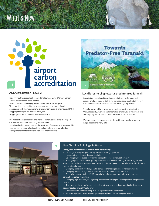# What's New



### **ACI Accreditation - Level 2**

New Plymouth Airport has been working towards Level 2 Airport Carbon Accreditation for the last 6 months.

Level 2 consists of managing and reducing our carbon footprint. To obtain level 2 accreditation we mapped our carbon emissions in accordance with the requirements of the Airport Council International (ACI). Mapping starting in 2018 as our base year. Mapping is broken into two scopes - see figure 1

We will continue to measure and monitor our emissions using the Airport Carbon and Emissions Reporting Tool (ACERT).

Sustainability has always been at the forefront of the company, however this year we have created a Sustainability policy and also created a Carbon Management Plan to follow and track our improvements.



### **Local lures helping towards predator free Taranaki**

As part of our sustainability goals we are helping the Taranaki region become predator free. To do this we have sourced a local initiative from Auroa School in South Taranaki, created by four young women.

The solar-powered lures attached to the traps aim to protect native Whio/blue duck, which are endangered in Taranaki, by using sounds like chirping baby birds to attract predators such as stoats and rats.

We have been using these traps for the last 2 years and have already caught a stoat and many rats.



#### New Terminal Building - Te Hono

#### **Energy reduction features in the new terminal building:**

- Utilising the first principles of the passive solar design approach
- Incorporating enhanced thermal insulation
- Selecting a light coloured roof for the main public space to reduce heat gain
- Specifying IGU Low-e double glazing with spectrally selective coatings to control glare and solar gain while allowing amplenatural daylight. Differing glass solar control specification based on exposure to solar gain
- Designing large roof overhangs and external solar shading devices to northern facades
- Designing all-electric systems to avoid the on-site combustion of fossil fuels
- Specifying energy-efficient HVAC controls including economizer cycle, heat recovery, and demand-controlled ventilation
- Designing high efficiency LED lighting with automatic daylight dimming control and presence detection
- The lower northern roof area and electrical infrastructure has been specifically designed to accommodate a future PV solar array
- Comprehensive commissioning of building services was undertaken
- 12 months post-occupancy building tuning using Beca's BTune analytics service

New Plymouth Airport - SUSTAINABILITY REPORT 2021